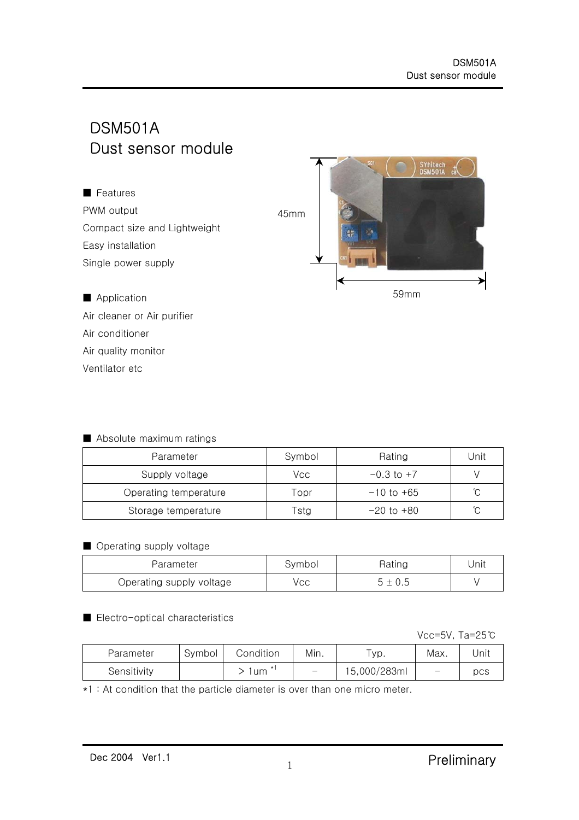**SYhitech** 

# DSM501A Dust sensor module



Air cleaner or Air purifier Air conditioner Air quality monitor Ventilator etc

#### ■ Absolute maximum ratings

| Parameter             | Symbol | Rating         | Unit |
|-----------------------|--------|----------------|------|
| Supply voltage        | Vcc    | $-0.3$ to $+7$ |      |
| Operating temperature | Topr   | $-10$ to +65   | °C   |
| Storage temperature   | Tstg   | $-20$ to $+80$ | °C   |

#### ■ Operating supply voltage

| Parameter                | Svmbol | Rating  | Unit |
|--------------------------|--------|---------|------|
| Operating supply voltage | √сс    | , ± 0.5 |      |

#### ■ Electro-optical characteristics

Vcc=5V, Ta=25℃

| Parameter   | Svmbol | Condition | Min. | 'yp.         | Max.                     | Unit |
|-------------|--------|-----------|------|--------------|--------------------------|------|
| Sensitivity |        | um        |      | 15,000/283ml | $\overline{\phantom{m}}$ | pcs  |

\*1 : At condition that the particle diameter is over than one micro meter.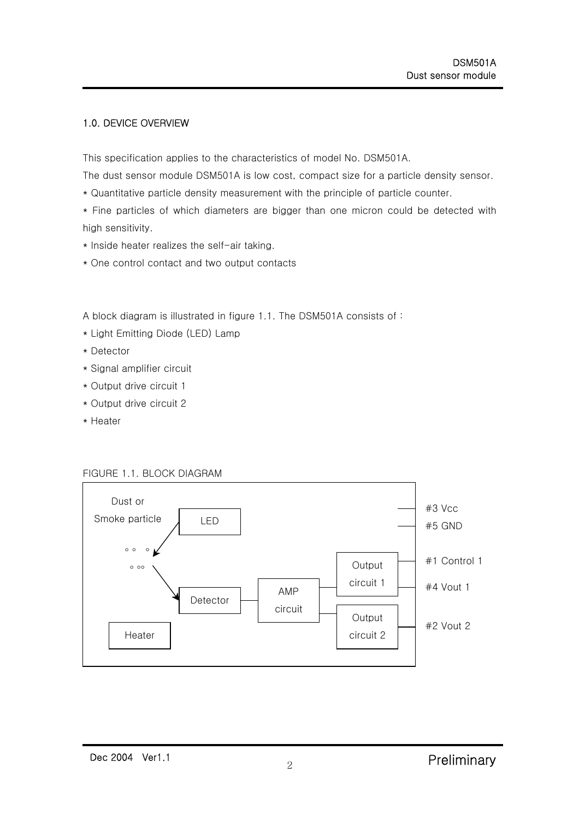## 1.0. DEVICE OVERVIEW

This specification applies to the characteristics of model No. DSM501A.

The dust sensor module DSM501A is low cost, compact size for a particle density sensor.

\* Quantitative particle density measurement with the principle of particle counter.

\* Fine particles of which diameters are bigger than one micron could be detected with high sensitivity.

- \* Inside heater realizes the self-air taking.
- \* One control contact and two output contacts

A block diagram is illustrated in figure 1.1. The DSM501A consists of :

- \* Light Emitting Diode (LED) Lamp
- \* Detector
- \* Signal amplifier circuit
- \* Output drive circuit 1
- \* Output drive circuit 2
- \* Heater



#### FIGURE 1.1. BLOCK DIAGRAM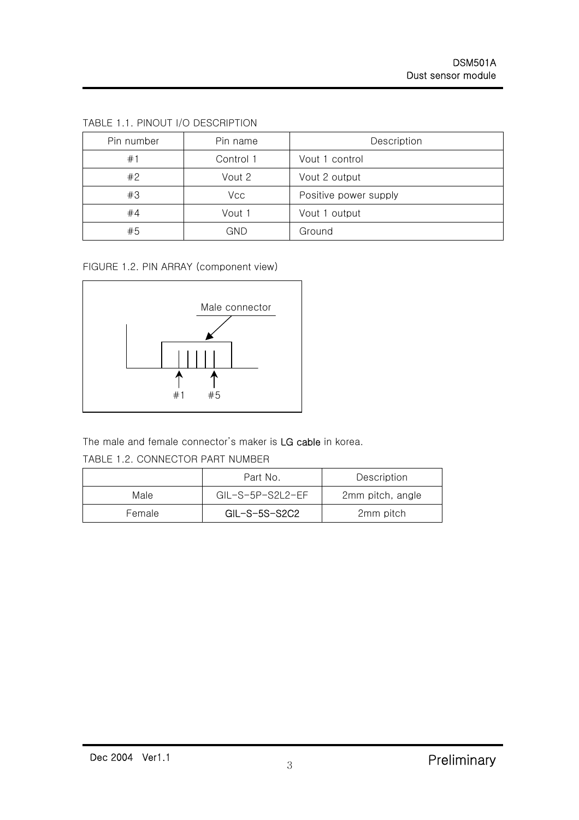| Pin number | Pin name  | Description           |
|------------|-----------|-----------------------|
| #1         | Control 1 | Vout 1 control        |
| #2         | Vout 2    | Vout 2 output         |
| #3         | Vcc       | Positive power supply |
| #4         | Vout 1    | Vout 1 output         |
| #5         | GND       | Ground                |

TABLE 1.1. PINOUT I/O DESCRIPTION

FIGURE 1.2. PIN ARRAY (component view)



The male and female connector's maker is LG cable in korea.

TABLE 1.2. CONNECTOR PART NUMBER

|        | Part No.                    | Description      |
|--------|-----------------------------|------------------|
| Male   | $GII - S - 5P - S2I 2 - FF$ | 2mm pitch, angle |
| Female | $GL-S-5S-S2C2$              | 2mm pitch        |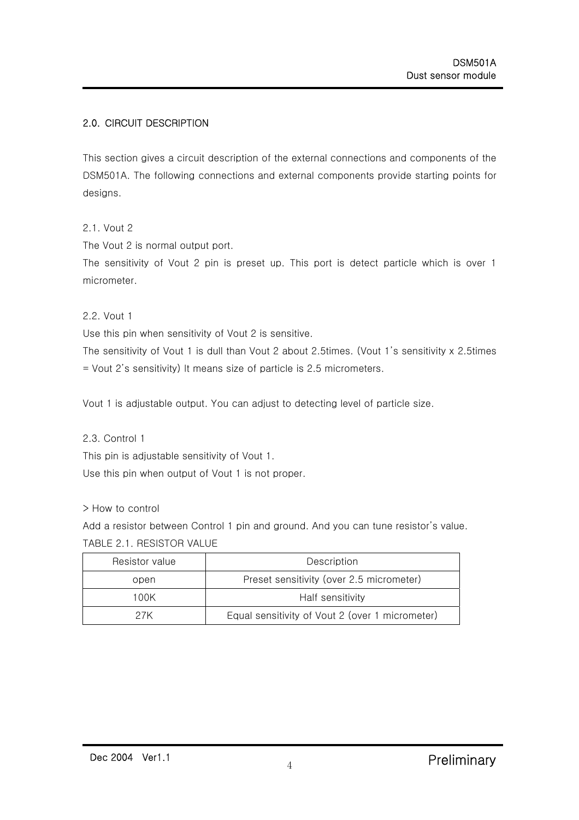# 2.0. CIRCUIT DESCRIPTION

This section gives a circuit description of the external connections and components of the DSM501A. The following connections and external components provide starting points for designs.

2.1. Vout 2

The Vout 2 is normal output port.

The sensitivity of Vout 2 pin is preset up. This port is detect particle which is over 1 micrometer.

2.2. Vout 1

Use this pin when sensitivity of Vout 2 is sensitive.

The sensitivity of Vout 1 is dull than Vout 2 about 2.5times. (Vout 1's sensitivity x 2.5times = Vout 2's sensitivity) It means size of particle is 2.5 micrometers.

Vout 1 is adjustable output. You can adjust to detecting level of particle size.

2.3. Control 1

This pin is adjustable sensitivity of Vout 1.

Use this pin when output of Vout 1 is not proper.

> How to control

Add a resistor between Control 1 pin and ground. And you can tune resistor's value. TABLE 2.1. RESISTOR VALUE

| Resistor value | Description                                     |  |  |  |
|----------------|-------------------------------------------------|--|--|--|
| open           | Preset sensitivity (over 2.5 micrometer)        |  |  |  |
| 100K           | Half sensitivity                                |  |  |  |
| 27K            | Equal sensitivity of Vout 2 (over 1 micrometer) |  |  |  |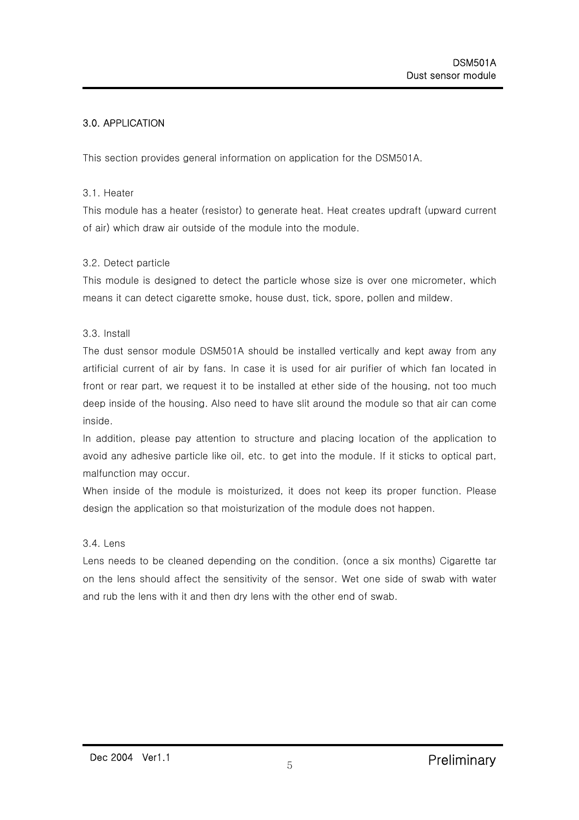# 3.0. APPLICATION

This section provides general information on application for the DSM501A.

#### 3.1. Heater

This module has a heater (resistor) to generate heat. Heat creates updraft (upward current of air) which draw air outside of the module into the module.

#### 3.2. Detect particle

This module is designed to detect the particle whose size is over one micrometer, which means it can detect cigarette smoke, house dust, tick, spore, pollen and mildew.

#### 3.3. Install

The dust sensor module DSM501A should be installed vertically and kept away from any artificial current of air by fans. In case it is used for air purifier of which fan located in front or rear part, we request it to be installed at ether side of the housing, not too much deep inside of the housing. Also need to have slit around the module so that air can come inside.

In addition, please pay attention to structure and placing location of the application to avoid any adhesive particle like oil, etc. to get into the module. If it sticks to optical part, malfunction may occur.

When inside of the module is moisturized, it does not keep its proper function. Please design the application so that moisturization of the module does not happen.

### 3.4. Lens

Lens needs to be cleaned depending on the condition. (once a six months) Cigarette tar on the lens should affect the sensitivity of the sensor. Wet one side of swab with water and rub the lens with it and then dry lens with the other end of swab.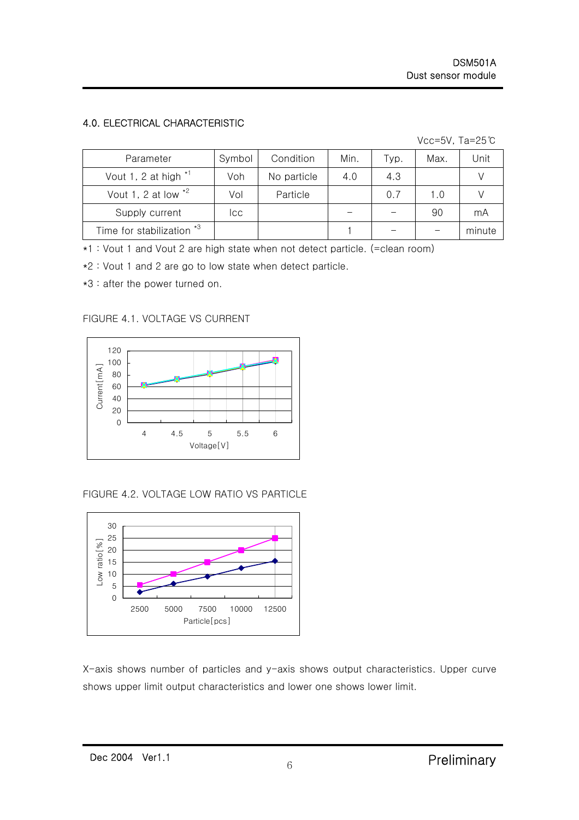# 4.0. ELECTRICAL CHARACTERISTIC

Vcc=5V, Ta=25℃

| Parameter                 | Symbol | Condition   | Min. | Tур. | Max. | Unit   |
|---------------------------|--------|-------------|------|------|------|--------|
| Vout 1, 2 at high $*1$    | Voh    | No particle | 4.0  | 4.3  |      |        |
| Vout 1, 2 at low $*^2$    | Vol    | Particle    |      | 0.7  | 1.0  |        |
| Supply current            | Icc.   |             |      |      | 90   | mA     |
| Time for stabilization *3 |        |             |      |      |      | minute |

\*1 : Vout 1 and Vout 2 are high state when not detect particle. (=clean room)

\*2 : Vout 1 and 2 are go to low state when detect particle.

\*3 : after the power turned on.

FIGURE 4.1. VOLTAGE VS CURRENT



FIGURE 4.2. VOLTAGE LOW RATIO VS PARTICLE



X-axis shows number of particles and y-axis shows output characteristics. Upper curve shows upper limit output characteristics and lower one shows lower limit.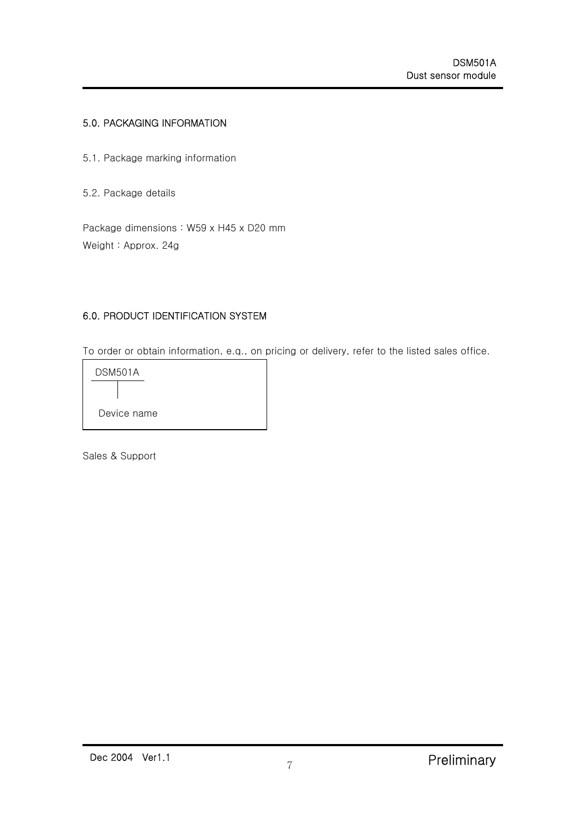## 5.0. PACKAGING INFORMATION

- 5.1. Package marking information
- 5.2. Package details

Package dimensions : W59 x H45 x D20 mm Weight : Approx. 24g

## 6.0. PRODUCT IDENTIFICATION SYSTEM

To order or obtain information, e.q., on pricing or delivery, refer to the listed sales office.



Sales & Support